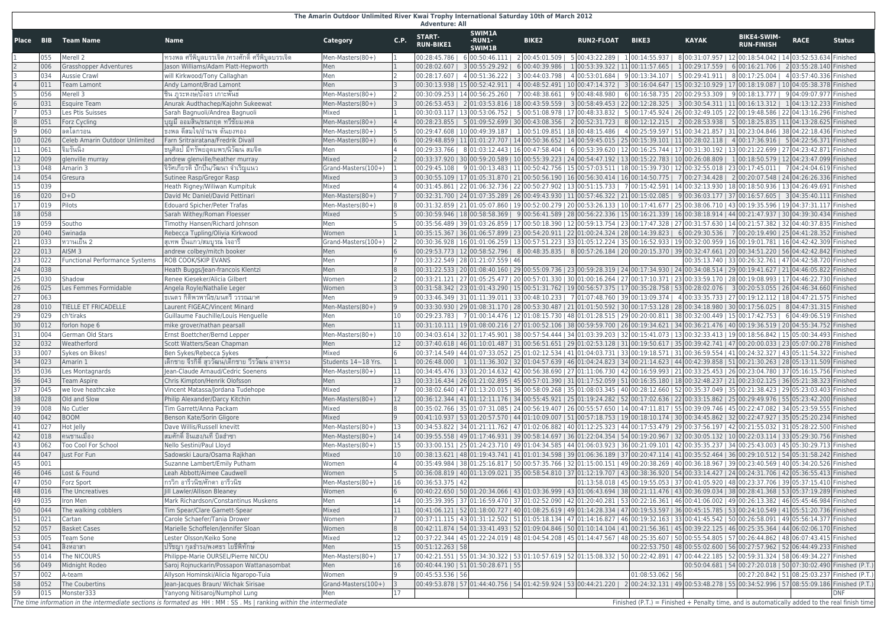## **The Amarin Outdoor Unlimited River Kwai Trophy International Saturday 10th of March 2012 Adventure: All**

| Place    | <b>BIB</b> | <b>Team Name</b>                      | <b>Name</b>                                                                                                          | <b>Category</b>         | C.P. | <b>START-</b><br><b>RUN-BIKE1</b>   | <b>SWIM1A</b><br>-RUN1-<br><b>SWIM1B</b> | <b>BIKE2</b>                                                                                                                                                                                                                                                                                                   | <b>RUN2-FLOAT</b> | <b>BIKE3</b>        | <b>KAYAK</b>                                                           | <b>BIKE4-SWIM-</b><br><b>RUN-FINISH</b>                                                          | <b>RACE</b>             | <b>Status</b> |
|----------|------------|---------------------------------------|----------------------------------------------------------------------------------------------------------------------|-------------------------|------|-------------------------------------|------------------------------------------|----------------------------------------------------------------------------------------------------------------------------------------------------------------------------------------------------------------------------------------------------------------------------------------------------------------|-------------------|---------------------|------------------------------------------------------------------------|--------------------------------------------------------------------------------------------------|-------------------------|---------------|
|          |            | Merell 2                              | ่ทรงพล ศรีพิบูลบรรเจิด /ทรงศักดิ์ ศรีพิบูลบรรเจิด                                                                    | Men-Masters(80+)        |      |                                     |                                          | 00:28:45.786   600:50:46.111   200:45:01.509   500:43:22.289   100:14:55.937   800:31:07.957   1200:18:54.042   1403:52:53.634   Finished                                                                                                                                                                      |                   |                     |                                                                        |                                                                                                  |                         |               |
|          | 006        | <b>Grasshopper Adventures</b>         | Jason Williams/Adam Platt-Hepworth                                                                                   | Men                     |      |                                     |                                          | $ 00:28:02.607 $ 3 $ 00:55:29.292 $ 6 $ 00:40:39.986 $                                                                                                                                                                                                                                                         |                   |                     | $1 00:53:39.322 11 00:11:57.665 1 00:29:17.559 $                       | 6 00:16:21.706   2 03:55:28.140 Finished                                                         |                         |               |
|          | 034        | <b>Aussie Crawl</b>                   | will Kirkwood/Tony Callaghan                                                                                         | Men                     |      |                                     |                                          | $00:28:17.607$   4 00:51:36.222   3 00:44:03.798                                                                                                                                                                                                                                                               |                   |                     | $4 00:53:01.684 9 00:13:34.107 5 00:29:41.911 8 00:17:25.004 $         |                                                                                                  | 4 03:57:40.336 Finished |               |
|          |            | <b>Team Lamont</b>                    | Andy Lamont/Brad Lamont                                                                                              | Men                     |      |                                     |                                          | 00:30:13.938   15 00:52:42.911   4 00:48:52.491   10 00:47:14.372   3 00:16:04.647   15 00:32:10.929   17 00:18:19.087   10 04:05:38.378   Finished                                                                                                                                                            |                   |                     |                                                                        |                                                                                                  |                         |               |
|          | 056        | Merell 3                              | ชิน ภูระหงษ์/บังอร เกาะพันธ                                                                                          | Men-Masters(80+)        |      |                                     |                                          | $00:30:09.253   14   00:56:25.260   7   00:48:38.661  $                                                                                                                                                                                                                                                        |                   |                     | $9 00:48:48.980   6 00:16:58.735   20 00:29:53.309   9 00:18:13.777  $ |                                                                                                  | 9 04:09:07.977 Finished |               |
|          | 031        | <b>Esquire Team</b>                   | Anurak Audthachep/Kajohn Sukeewat                                                                                    | Men-Masters(80+)        |      |                                     |                                          | $\vert 00:26:53.453 \mid 2 \vert 01:03:53.816 \mid 18 \vert 00:43:59.559 \mid 3 \vert 00:58:49.453 \mid 22 \vert 00:12:28.325 \mid 3 \vert 00:30:54.311 \mid 11 \vert 00:16:13.312 \mid 11 \vert 00:16:13.312 \mid 11 \vert 00:16:13.312 \mid 11 \vert 00:16:13.312 \mid 11 \vert 00:16:13.312 \mid 11 \vert $ |                   |                     |                                                                        |                                                                                                  | 104:13:12.233 Finished  |               |
|          | 053        | Les Ptis Suisses                      | Sarah Bagnuoli/Andrea Bagnuoli                                                                                       | Mixed                   |      |                                     |                                          | 00:30:03.117   13 00:53:06.752   5 00:51:08.978   17 00:48:33.832   5 00:17:45.924   26 00:32:49.105   22 00:19:48.586   22 04:13:16.296   Finished                                                                                                                                                            |                   |                     |                                                                        |                                                                                                  |                         |               |
|          | 051        | <b>Forz Cycling</b>                   | ีบุญมี ออมสิน/ธณกฤต ทวีชัยมงคล                                                                                       | Men-Masters(80+)        |      |                                     |                                          | 00:28:23.855   5 01:09:52.699   30 00:43:08.356   2 00:52:31.723   8 00:12:12.215   2 00:28:53.938   5 00:18:25.835   11 04:13:28.625   Finished                                                                                                                                                               |                   |                     |                                                                        |                                                                                                  |                         |               |
| 9        | 060        | ลดโลกรอน                              | ุธงพล ดีสมใจ/อำนาจ ตันยงทอง                                                                                          | Men-Masters(80+)        |      |                                     |                                          | 00:29:47.608   10 00:49:39.187   1 00:51:09.851   18 00:48:15.486   4 00:25:59.597   51 00:34:21.857   31 00:23:04.846   38 04:22:18.436   Finished                                                                                                                                                            |                   |                     |                                                                        |                                                                                                  |                         |               |
| 10       | 026        | Celeb Amarin Outdoor Unlimited        | Farn Sritrairatana/Fredrik Divall                                                                                    | Men-Masters(80+)        |      |                                     |                                          | $00:29:48.859$   11 $01:01:27.707$   14 $00:50:36.652$   14 $00:59:45.015$   25 $00:15:39.101$   11 $00:28:02.118$   $\,$ 4 $00:17:36.916$                                                                                                                                                                     |                   |                     |                                                                        |                                                                                                  | 5 04:22:56.371 Finished |               |
| 11       | 061        | จิมรันนิง                             | ุธนูศิลป มีทรัพย์อุดมพร/นิวัฒน์ สมจิต                                                                                | Men                     |      |                                     |                                          | 00:29:33.766   8 01:03:12.443   16 00:47:58.404   6 00:53:39.620   12 00:16:25.744   17 00:31:30.192   13 00:21:22.699   27 04:23:42.871   Finished                                                                                                                                                            |                   |                     |                                                                        |                                                                                                  |                         |               |
| 12       | 009        | glenville murray                      | andrew glenville/heather murray                                                                                      | Mixed                   |      |                                     |                                          | 00:33:37.920   30 00:59:20.589   10 00:55:39.223   24 00:54:47.192   13 00:15:22.783   10 00:26:08.809     1 00:18:50.579   12 04:23:47.099   Finished                                                                                                                                                         |                   |                     |                                                                        |                                                                                                  |                         |               |
| 13       | 048        | Amarin 3                              | จิรัศเกียรติ ปักปีน/วัฒนา จำเริญแนว                                                                                  | Grand-Masters(100+)     |      |                                     |                                          | $00:29:45.108$   9 $01:00:13.483$   11 $00:50:42.756$   15 $00:57:03.511$   18 $00:15:39.730$   12 $00:32:55.018$   23 $00:17:45.011$                                                                                                                                                                          |                   |                     |                                                                        |                                                                                                  | 7 04:24:04.619 Finished |               |
| 14       | 054        | Gresura                               | Sutinee Rasp/Gregor Rasp                                                                                             | Mixed                   |      |                                     |                                          | 00:30:55.109   17 01:05:31.870   21 00:50:56.190   16 00:56:30.414   16 00:14:50.775   7 00:27:34.428   2 00:20:07.548   24 04:26:26.336   Finished                                                                                                                                                            |                   |                     |                                                                        |                                                                                                  |                         |               |
| 15       | 039        |                                       | Heath Rigney/Wiliwan Kumpituk                                                                                        | Mixed                   |      |                                     |                                          | 00:31:45.861   22 01:06:32.736   22 00:50:27.902   13 00:51:15.733   7 00:15:42.591   14 00:32:13.930   18 00:18:50.936   13 04:26:49.691   Finished                                                                                                                                                           |                   |                     |                                                                        |                                                                                                  |                         |               |
| 16       | 020        | $D+D$                                 | David Mc Daniel/David Pettinari                                                                                      | Men-Masters(80+)        |      |                                     |                                          | 00:32:31.700   24 01:07:35.289   26 00:49:43.930   11 00:57:46.322   21 00:15:02.085   9 00:36:03.177   37 00:16:57.605   3 04:35:40.111   Finished                                                                                                                                                            |                   |                     |                                                                        |                                                                                                  |                         |               |
| 17       | 019        | Pilots                                | <b>Edouard Spicher/Peter Trafas</b>                                                                                  | Men-Masters(80+)        |      |                                     |                                          | 00:31:32.859   21 01:05:07.860   19 00:52:00.279   20 00:53:26.133   10 00:17:41.677   25 00:38:06.710   43 00:19:35.596   19 04:37:31.117   Finished                                                                                                                                                          |                   |                     |                                                                        |                                                                                                  |                         |               |
| 18       | 058        |                                       | Sarah Withey/Roman Floesser                                                                                          | Mixed                   |      |                                     |                                          | 00:30:59.946   18 00:58:58.369   9 00:56:41.589   28 00:56:22.336   15 00:16:21.339   16 00:38:18.914   44 00:21:47.937   30 04:39:30.434   Finished                                                                                                                                                           |                   |                     |                                                                        |                                                                                                  |                         |               |
| 19       | 059        | Southo                                | Timothy Hansen/Richard Johnson                                                                                       | Men                     |      |                                     |                                          | 00:35:56.489   39 01:03:26.859   17 00:50:18.390   12 00:59:13.754   23 00:17:47.328   27 00:31:57.630   14 00:21:57.382   32 04:40:37.835   Finished                                                                                                                                                          |                   |                     |                                                                        |                                                                                                  |                         |               |
| 20       | 040        | Swinada                               | Rebecca Tupling/Olivia Kirkwood                                                                                      | Women                   |      |                                     |                                          | 00:35:15.367   36 01:06:57.899   23 00:54:20.911   22 01:00:24.324   28 00:14:39.823   6 00:29:30.536   7 00:20:19.490   25 04:41:28.352   Finished                                                                                                                                                            |                   |                     |                                                                        |                                                                                                  |                         |               |
| 21       | 033        | หวานเย็น 2                            | ้สุเทพ บื่นแก <sup>้</sup> ว/สมบูรณ <sup>์</sup> ใจอารี                                                              | Grand-Masters(100+)     |      |                                     |                                          | 00:30:36.928   16 01:01:06.259   13 00:57:51.223   33 01:05:12.224   35 00:16:52.933   19 00:32:00.959   16 00:19:01.781   16 04:42:42.309   Finished                                                                                                                                                          |                   |                     |                                                                        |                                                                                                  |                         |               |
| 22       | 013        | AISM <sub>3</sub>                     | andrew colbey/mitch booker                                                                                           | Men                     |      |                                     |                                          | 00:29:53.773   12 00:58:52.796   8 00:48:35.835   8 00:57:26.184   20 00:20:15.370   39 00:32:47.661   20 00:34:51.220   56 04:42:42.842   Finished                                                                                                                                                            |                   |                     |                                                                        |                                                                                                  |                         |               |
| 23       |            | <b>Functional Performance Systems</b> | <b>ROB COOK/SKIP EVANS</b>                                                                                           | Men                     |      | 00:33:22.549   28 01:21:07.559   46 |                                          |                                                                                                                                                                                                                                                                                                                |                   |                     |                                                                        | 00:35:13.740   33 00:26:32.761   47 04:42:58.720   Finished                                      |                         |               |
| 24       | 038        |                                       | Heath Buggs/Jean-francois Klentzi                                                                                    | Men                     |      |                                     |                                          | 00:31:22.533   20 01:08:40.160   29 00:55:09.736   23 00:59:28.319   24 00:17:34.930   24 00:34:08.514   29 00:19:41.627   21 04:46:05.822   Finished                                                                                                                                                          |                   |                     |                                                                        |                                                                                                  |                         |               |
| 25       | 030        | Shadow                                | Renee Kieseker/Alicia Gilbert                                                                                        | Women                   |      |                                     |                                          | 00:33:21.121   27 01:05:25.477   20 00:57:01.330   30 01:00:16.264   27 00:17:10.371   23 00:33:59.170   28 00:19:08.993   17 04:46:22.730 Finished                                                                                                                                                            |                   |                     |                                                                        |                                                                                                  |                         |               |
| 26       | 025        | Les Femmes Formidable                 | Angela Royle/Nathalie Leger                                                                                          | Women                   |      |                                     |                                          | 00:31:58.342   23 01:01:43.290   15 00:51:31.762   19 00:56:57.375   17 00:35:28.758   53 00:28:02.076   3 00:20:53.055   26 04:46:34.660 Finished                                                                                                                                                             |                   |                     |                                                                        |                                                                                                  |                         |               |
|          | 063        |                                       | ุธเนตร กิติพรพานิช/มนตรี วรรณมาศ                                                                                     | Men                     |      |                                     |                                          | $00:33:46.349$   31 $01:11:39.011$   33 $00:48:10.233$                                                                                                                                                                                                                                                         |                   |                     |                                                                        | 7 01:07:48.760   39 00:13:09.374   4 00:33:35.733   27 00:19:12.112   18 04:47:21.575   Finished |                         |               |
| 28       | 010        | TIELLE ET FRICADELLE                  | Laurent FIGEAC/Vincent Minard                                                                                        | Men-Masters(80+)        |      |                                     |                                          | 00:33:30.930   29 01:08:31.170   28 00:53:30.487   21 01:01:50.592   30 00:17:53.128   28 00:34:18.980   30 00:17:56.025                                                                                                                                                                                       |                   |                     |                                                                        |                                                                                                  | 8 04:47:31.315 Finished |               |
| 29       | 029        | ch'tiraks                             | Guillaume Fauchille/Louis Henguelle                                                                                  | Men                     |      |                                     |                                          | 00:29:23.783   7 01:00:14.476   12 01:08:15.730   48 01:01:28.515   29 00:20:00.811   38 00:32:00.449   15 00:17:42.753                                                                                                                                                                                        |                   |                     |                                                                        |                                                                                                  | 6 04:49:06.519 Finished |               |
| 30       | 012        | forlon hope 6                         | mike grover/nathan pearsall                                                                                          | Men                     |      |                                     |                                          | 00:31:10.111   19 01:08:00.216   27 01:00:52.106   38 00:59:59.700   26 00:19:34.621   34 00:36:21.476   40 00:19:36.519   20 04:55:34.752   Finished                                                                                                                                                          |                   |                     |                                                                        |                                                                                                  |                         |               |
| 31       |            | German Old Stars                      | Ernst Boettcher/Bernd Lepper                                                                                         | Men-Masters(80+)        |      |                                     |                                          | 00:34:03.614   32 01:17:45.901   38 00:57:54.444   34 01:03:39.203   32 00:15:41.073   13 00:32:33.413   19 00:18:56.842   15 05:00:34.493   Finished                                                                                                                                                          |                   |                     |                                                                        |                                                                                                  |                         |               |
| 32       | 032        | Weatherford                           | Scott Watters/Sean Chapman                                                                                           | Men                     |      |                                     |                                          | 00:37:40.618   46 01:10:01.487   31 00:56:51.651   29 01:02:53.128   31 00:19:50.617   35 00:39:42.741   47 00:20:00.033   23 05:07:00.278   Finished                                                                                                                                                          |                   |                     |                                                                        |                                                                                                  |                         |               |
| 33       |            | Sykes on Bikes!                       | Ben Sykes/Rebecca Sykes<br>เด็กชาย จีรกิติ์ สุววัฒน์/เด็กชาย วีรวัฒน์ อาจทรง                                         | Mixed                   |      |                                     |                                          | 00:37:14.549   44 01:07:33.052   25 01:02:12.534   41 01:04:03.731   33 00:19:18.571   31 00:36:59.554   41 00:24:32.327   43 05:11:54.322   Finished                                                                                                                                                          |                   |                     |                                                                        |                                                                                                  |                         |               |
| 34       | 023<br>036 | Amarin 1                              |                                                                                                                      | Students 14~18 Yrs.     |      |                                     |                                          | 00:26:48.000   101:11:36.302   32 01:04:57.639   46 01:04:24.823   34 00:21:14.623   44 00:42:39.858   51 00:21:30.263   28 05:13:11.509 Finished                                                                                                                                                              |                   |                     |                                                                        |                                                                                                  |                         |               |
| 35<br>36 | 043        | Les Montagnards<br><b>Team Aspire</b> | Jean-Claude Arnaud/Cedric Soenens<br>Chris Kimpton/Henrik Olofsson                                                   | Men-Masters(80+)<br>Men |      |                                     |                                          | 00:34:45.476   33 01:20:14.632   42 00:56:38.690   27 01:11:06.730   42 00:16:59.993   21 00:33:25.453   26 00:23:04.780   37 05:16:15.756   Finished<br>00:33:16.434   26 01:21:02.895   45 00:57:01.390   31 01:17:52.059   51 00:16:35.180   18 00:32:48.237   21 00:23:02.125   36 05:21:38.323   Finished |                   |                     |                                                                        |                                                                                                  |                         |               |
| 37       | 045        | we love heathcake                     | Vincent Matassa/Jordana Tudehope                                                                                     | Mixed                   |      |                                     |                                          | 00:38:02.640   47 01:13:20.015   36 00:58:09.268   35 01:08:03.345   40 00:28:12.660   52 00:35:37.049   35 00:21:38.423   29 05:23:03.403   Finished                                                                                                                                                          |                   |                     |                                                                        |                                                                                                  |                         |               |
| 38       | 028        | Old and Slow                          | Philip Alexander/Darcy Kitchin                                                                                       | Men-Masters(80+)        |      |                                     |                                          | 00:36:12.344   41 01:12:11.176   34 00:55:45.921   25 01:19:24.282   52 00:17:02.636   22 00:33:15.862   25 00:29:49.976   55 05:23:42.200 Finished                                                                                                                                                            |                   |                     |                                                                        |                                                                                                  |                         |               |
| 39       | 008        | No Cutler                             | Tim Garrett/Anna Packam                                                                                              | Mixed                   |      |                                     |                                          | 00:35:02.766   35 01:07:31.085   24 00:56:19.407   26 00:55:57.650   14 00:47:11.817   55 00:39:09.746   45 00:22:47.082   34 05:23:59.555   Finished                                                                                                                                                          |                   |                     |                                                                        |                                                                                                  |                         |               |
| 40       | 042        | <b>BOOM</b>                           | Benson Kate/Sorin Gligore                                                                                            | Mixed                   |      |                                     |                                          | 00:41:10.937   53 01:20:57.570   44 01:10:09.007   51 00:57:18.753   19 00:18:10.174   30 00:34:45.862   32 00:22:47.927   35 05:25:20.234   Finished                                                                                                                                                          |                   |                     |                                                                        |                                                                                                  |                         |               |
| 41       |            | Hot Jelly                             | Dave Willis/Russell knevitt                                                                                          | Men-Masters(80+)        |      |                                     |                                          | 00:34:53.822   34 01:21:11.762   47 01:02:06.882   40 01:12:25.323   44 00:17:53.479   29 00:37:56.197   42 00:21:55.032   31 05:28:22.500 Finished                                                                                                                                                            |                   |                     |                                                                        |                                                                                                  |                         |               |
| 42       | 018        | คนชานเมือง                            | ี่สมศักดิ์ อินเฮง/นที่ บิลฮำซา                                                                                       | Men-Masters(80+)        |      |                                     |                                          | 00:39:55.558   49 01:17:46.931   39 00:58:14.697   36 01:22:04.354   54 00:19:20.967   32 00:30:05.132   10 00:22:03.114   33 05:29:30.756   Finished                                                                                                                                                          |                   |                     |                                                                        |                                                                                                  |                         |               |
| 43       | 062        | Too Cool For School                   | Nello Sestini/Paul Lloyd                                                                                             | Men-Masters(80+)        |      |                                     |                                          | 00:33:00.151   25 01:24:23.710   49 01:04:34.585   44 01:06:03.923   36 00:21:09.101   42 00:35:35.237   34 00:25:43.003   45 05:30:29.713   Finished                                                                                                                                                          |                   |                     |                                                                        |                                                                                                  |                         |               |
| 44       | 047        | Just For Fun                          | Sadowski Laura/Osama Rajkhan                                                                                         | Mixed                   |      |                                     |                                          | 00:38:13.621   48 01:19:43.741   41 01:01:34.598   39 01:06:36.189   37 00:20:47.114   41 00:35:52.464   36 00:29:10.512   54 05:31:58.242 Finished                                                                                                                                                            |                   |                     |                                                                        |                                                                                                  |                         |               |
| 45       | 001        |                                       | Suzanne Lambert/Emily Putham                                                                                         | Women                   |      |                                     |                                          | 00:35:49.984   38 01:25:16.817   50 00:57:35.766   32 01:15:00.151   49 00:20:38.269   40 00:36:18.967   39 00:23:40.569   40 05:34:20.526   Finished                                                                                                                                                          |                   |                     |                                                                        |                                                                                                  |                         |               |
| 46       | 046        | Lost & Found                          | Leah Abbott/Aimee Caudwell                                                                                           | Women                   |      |                                     |                                          | 00:36:08.819   40 01:13:09.021   35 00:58:54.810   37 01:12:19.707   43 00:38:36.920   54 00:33:14.427   24 00:24:31.706   42 05:36:55.413   Finished                                                                                                                                                          |                   |                     |                                                                        |                                                                                                  |                         |               |
| 47       | 050        | Forz Sport                            | กรวิก อารีวนิช/ศักดา อารีวนิช                                                                                        | Men-Masters(80+)        | 16   | $00:36:53.375$   42                 |                                          |                                                                                                                                                                                                                                                                                                                |                   |                     |                                                                        | 01:13:58.018   45 00:19:55.053   37 00:41:05.920   48 00:23:37.706   39 05:37:15.410   Finished  |                         |               |
| 48       | 016        | The Uncreatives                       | Jill Lawler/Allison Bleaney                                                                                          | Women                   |      |                                     |                                          | 00:40:22.650   50 01:20:34.066   43 01:03:36.999   43 01:06:43.694   38 00:21:11.476   43 00:36:09.034   38 00:28:41.368   53 05:37:19.289   Finished                                                                                                                                                          |                   |                     |                                                                        |                                                                                                  |                         |               |
| 49       | 035        | Iron Men                              | Mark Richardson/Constantinus Muskens                                                                                 | Men                     |      |                                     |                                          | 00:35:39.395   37 01:16:59.470   37 01:02:52.090   42 01:20:40.281   53 00:22:16.361   46 00:41:06.002   49 00:26:13.382   46 05:45:46.984   Finished                                                                                                                                                          |                   |                     |                                                                        |                                                                                                  |                         |               |
| 50       | 044        | The walking cobblers                  | Tim Spear/Clare Garnett-Spear                                                                                        | Mixed                   |      |                                     |                                          | 00:41:06.121   52 01:18:00.727   40 01:08:25.619   49 01:14:28.334   47 00:19:53.597   36 00:45:15.785   53 00:24:10.549   41 05:51:20.736   Finished                                                                                                                                                          |                   |                     |                                                                        |                                                                                                  |                         |               |
| 51       | 021        | Cartan                                | Carole Schaefer/Tania Drower                                                                                         | Women                   |      |                                     |                                          | 00:37:11.115   43 01:31:12.502   51 01:05:18.134   47 01:14:16.827   46 00:19:32.163   33 00:41:45.542   50 00:26:58.091   49 05:56:14.377   Finished                                                                                                                                                          |                   |                     |                                                                        |                                                                                                  |                         |               |
| 52       | 057        | <b>Basket Cases</b>                   | Marielle Schoffelen/Jennifer Sloan                                                                                   | Women                   |      |                                     |                                          | 00:42:11.874   54 01:33:41.493   52 01:09:04.846   50 01:10:14.104   41 00:21:56.361   45 00:39:22.125   46 00:25:35.364   44 06:02:06.170   Finished                                                                                                                                                          |                   |                     |                                                                        |                                                                                                  |                         |               |
| 53       | 005        | <b>Team Sone</b>                      | Lester Olsson/Keiko Sone                                                                                             | Mixed                   |      |                                     |                                          | 00:37:22.344   45 01:22:24.019   48 01:04:54.208   45 01:14:47.567   48 00:25:35.607   50 00:55:54.805   57 00:26:44.862   48 06:07:43.415   Finished                                                                                                                                                          |                   |                     |                                                                        |                                                                                                  |                         |               |
| 54       | 041        | สิงหอาสา                              | ปรัชญา กุลธำรง/พงศธร โยธีพิทักษ์                                                                                     | Men                     | 15   | 00:51:12.263 58                     |                                          |                                                                                                                                                                                                                                                                                                                |                   |                     |                                                                        | 00:22:53.750   48 00:55:02.600   56 00:27:57.962   52 06:44:49.233   Finished                    |                         |               |
| 55       | 014        | The NICOURS                           | Philippe-Marie OURSEL/Pierre NICOU                                                                                   | Men-Masters(80+)        |      |                                     |                                          | 00:42:21.551   55 01:34:30.322   53 01:10:57.619   52 01:15:08.332   50 00:22:42.891   47 00:44:22.185   52 00:59:31.324   58 06:49:34.227   Finished                                                                                                                                                          |                   |                     |                                                                        |                                                                                                  |                         |               |
| 56       | 049        | Midnight Rodeo                        | Saroj Rojnuckarin/Possapon Wattanasombat                                                                             | Men                     |      | 00:40:44.190   51 01:50:28.671   55 |                                          |                                                                                                                                                                                                                                                                                                                |                   |                     |                                                                        | 00:50:04.681   54 00:27:20.018   50 07:30:02.490 Finished (P.T.                                  |                         |               |
| 57       | 002        | A-team                                | Allyson Hominski/Alicia Ngaropo-Tuia                                                                                 | Women                   |      | $00:45:53.536$   56                 |                                          |                                                                                                                                                                                                                                                                                                                |                   | $01:08:53.062$   56 |                                                                        | 00:27:20.842   51 08:25:03.237 Finished (P.T.)                                                   |                         |               |
| 58       | 052        | The Coubertins                        | Jean-Jacques Braun/ Wichak Sirisae                                                                                   | Grand-Masters(100+)     |      |                                     |                                          | 00:49:53.878   57 01:44:40.756   54 01:42:59.924   53 00:44:21.220                                                                                                                                                                                                                                             |                   |                     |                                                                        | 200:24:32.131   49 00:53:48.278   55 00:34:52.996   57 08:55:09.186   Finished (P.T.)            |                         |               |
| 59       | 015        | Monster333                            | Yanyong Nitisaroj/Numphol Lung                                                                                       | Men                     |      |                                     |                                          |                                                                                                                                                                                                                                                                                                                |                   |                     |                                                                        |                                                                                                  |                         | <b>DNF</b>    |
|          |            |                                       | The time information in the intermediate sections is formated as HH : MM : SS . Ms   ranking within the intermediate |                         |      |                                     |                                          |                                                                                                                                                                                                                                                                                                                |                   |                     |                                                                        | Finished (P.T.) = Finished + Penalty time, and is automatically added to the real finish time    |                         |               |